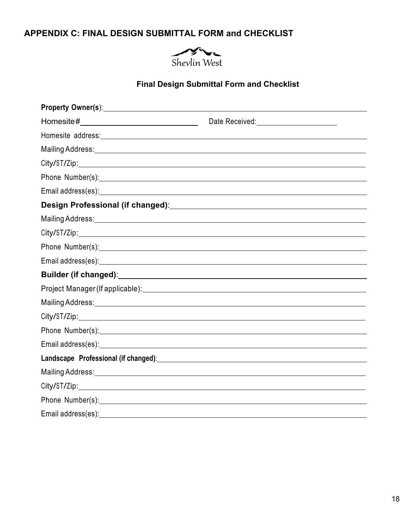## **APPENDIX C: FINAL DESIGN SUBMITTAL FORM and CHECKLIST**



## **Final Design Submittal Form and Checklist**

| Homesite#_________________________________                                                                                                                                                                                     | Date Received:<br><u> </u>                                                                                                                                                                                                     |
|--------------------------------------------------------------------------------------------------------------------------------------------------------------------------------------------------------------------------------|--------------------------------------------------------------------------------------------------------------------------------------------------------------------------------------------------------------------------------|
|                                                                                                                                                                                                                                |                                                                                                                                                                                                                                |
|                                                                                                                                                                                                                                | Mailing Address: National Address: National Address: National Address: National Address: National Address: National Address: National Address: National Address: National Address: National Address: National Address: Nationa |
|                                                                                                                                                                                                                                |                                                                                                                                                                                                                                |
|                                                                                                                                                                                                                                | Phone Number(s): 2008 Contract Contract Contract Contract Contract Contract Contract Contract Contract Contract Contract Contract Contract Contract Contract Contract Contract Contract Contract Contract Contract Contract Co |
|                                                                                                                                                                                                                                |                                                                                                                                                                                                                                |
|                                                                                                                                                                                                                                |                                                                                                                                                                                                                                |
|                                                                                                                                                                                                                                |                                                                                                                                                                                                                                |
|                                                                                                                                                                                                                                |                                                                                                                                                                                                                                |
|                                                                                                                                                                                                                                | Phone Number(s): 2008 Contract to the Contract of the Contract of the Contract of the Contract of the Contract of the Contract of the Contract of the Contract of the Contract of the Contract of the Contract of the Contract |
|                                                                                                                                                                                                                                |                                                                                                                                                                                                                                |
|                                                                                                                                                                                                                                |                                                                                                                                                                                                                                |
|                                                                                                                                                                                                                                |                                                                                                                                                                                                                                |
|                                                                                                                                                                                                                                | Mailing Address: Universe of the American Community of the American Community of the American Community of the                                                                                                                 |
|                                                                                                                                                                                                                                |                                                                                                                                                                                                                                |
| Phone Number(s): 2008 Communication of the Number of Section 2008 Communication of the Muslim Communication of the Muslim Communication of the Muslim Communication of the Muslim Communication of the Muslim Communication of |                                                                                                                                                                                                                                |
|                                                                                                                                                                                                                                | Email address(es): example and a series of the series of the series of the series of the series of the series of the series of the series of the series of the series of the series of the series of the series of the series  |
|                                                                                                                                                                                                                                |                                                                                                                                                                                                                                |
| Mailing Address: University of the Address of the Address of the Address of the Address of the Address of the A                                                                                                                |                                                                                                                                                                                                                                |
|                                                                                                                                                                                                                                |                                                                                                                                                                                                                                |
|                                                                                                                                                                                                                                |                                                                                                                                                                                                                                |
|                                                                                                                                                                                                                                |                                                                                                                                                                                                                                |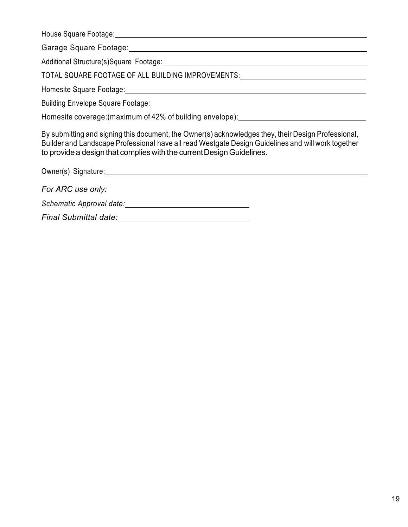House Square Footage:

Garage Square Footage:

Additional Structure(s)Square Footage: Manual Additional Structure(s) Square Footage: Manual Additional Additional Additional Additional Additional Additional Additional Additional Additional Additional Additional Addition

TOTAL SQUARE FOOTAGE OF ALL BUILDING IMPROVEMENTS:

Homesite Square Footage:

Building Envelope Square Footage:

Homesite coverage:(maximum of 42% of building envelope):

By submitting and signing this document, the Owner(s) acknowledges they, their Design Professional, Builder and Landscape Professional have all read Westgate Design Guidelines and will work together to provide a design that complies with the current Design Guidelines.

Owner(s) Signature: *For ARC use only: Schematic Approval date: Final Submittal date:*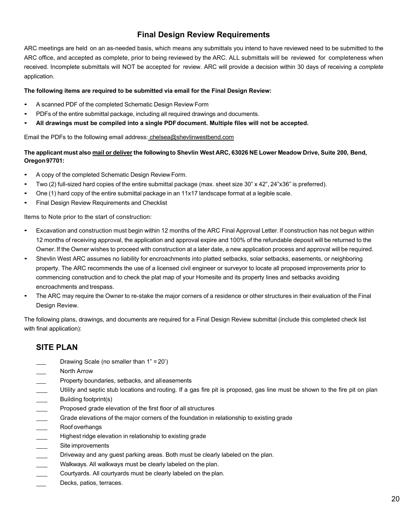## **Final Design Review Requirements**

ARC meetings are held on an as-needed basis, which means any submittals you intend to have reviewed need to be submitted to the ARC office, and accepted as complete, prior to being reviewed by the ARC. ALL submittals will be reviewed for completeness when received. Incomplete submittals will NOT be accepted for review. ARC will provide a decision within 30 days of receiving a *complete* application.

#### **The following items are required to be submitted via email for the Final Design Review:**

- <sup>A</sup> scanned PDF of the completed Schematic Design Review Form
- PDFs of the entire submittal package, including all required drawings and documents.
- **All drawings must be compiled into a single PDFdocument. Multiple files will not be accepted.**

Email the PDFs to the following email address: chelsea@shevlinwestbend.com

#### The applicant must also mail or deliver the following to Shevlin West ARC, 63026 NE Lower Meadow Drive, Suite 200, Bend, **Oregon97701:**

- <sup>A</sup> copy of the completed Schematic Design Review Form.
- Two (2) full-sized hard copies of the entire submittal package (max. sheet size 30" <sup>x</sup> 42", 24"x36" is preferred).
- One (1) hard copy of the entire submittal package in an 11x17 landscape format at <sup>a</sup> legible scale.
- Final Design Review Requirements and Checklist

Items to Note prior to the start of construction:

- Excavation and construction must begin within <sup>12</sup> months of the ARC Final Approval Letter. If construction has not begun within 12 months of receiving approval, the application and approval expire and 100% of the refundable deposit will be returned to the Owner. If the Owner wishes to proceed with construction at a later date, a new application process and approval will be required.
- Shevlin West ARC assumes no liability for encroachments into platted setbacks, solar setbacks, easements, or neighboring property. The ARC recommends the use of a licensed civil engineer or surveyor to locate all proposed improvements prior to commencing construction and to check the plat map of your Homesite and its property lines and setbacks avoiding encroachments and trespass.
- The ARC may require the Owner to re-stake the major corners of <sup>a</sup> residence or other structures in their evaluation of the Final Design Review.

The following plans, drawings, and documents are required for a Final Design Review submittal (include this completed check list with final application):

### **SITE PLAN**

- Drawing Scale (no smaller than 1" = 20')
- North Arrow
- Property boundaries, setbacks, and alleasements
- Utility and septic stub locations and routing. If a gas fire pit is proposed, gas line must be shown to the fire pit on plan
- Building footprint(s)
- Proposed grade elevation of the first floor of all structures
- Grade elevations of the major corners of the foundation in relationship to existing grade
- $\overline{\phantom{a}}$ Roof overhangs
- Highest ridge elevation in relationship to existing grade
- Site improvements
- Driveway and any guest parking areas. Both must be clearly labeled on the plan.
- Walkways. All walkways must be clearly labeled on the plan.
- Courtyards. All courtyards must be clearly labeled on the plan.
- Decks, patios, terraces.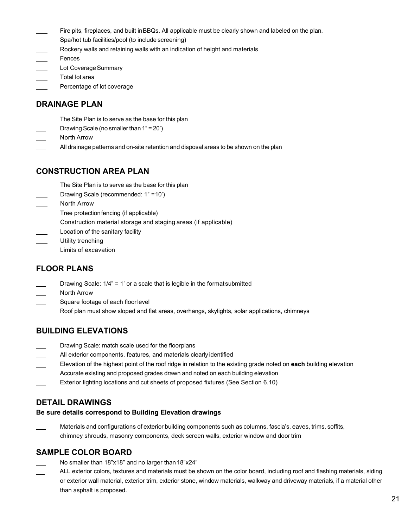- Fire pits, fireplaces, and built inBBQs. All applicable must be clearly shown and labeled on the plan.
- Spa/hot tub facilities/pool (to include screening)
- Rockery walls and retaining walls with an indication of height and materials
- Fences
- Lot Coverage Summary
- Total lot area
- Percentage of lot coverage

#### **DRAINAGE PLAN**

- The Site Plan is to serve as the base for this plan
- Drawing Scale (no smaller than  $1" = 20'$ )
- North Arrow
- All drainage patterns and on-site retention and disposal areas to be shown on the plan

### **CONSTRUCTION AREA PLAN**

- The Site Plan is to serve as the base for this plan
- Drawing Scale (recommended: 1" =10')
- North Arrow
- Tree protectionfencing (if applicable)
- Construction material storage and staging areas (if applicable)
- Location of the sanitary facility
- Utility trenching
- Limits of excavation

### **FLOOR PLANS**

- Drawing Scale: 1/4" = 1' or a scale that is legible in the formatsubmitted
- North Arrow
- Square footage of each floorlevel
- Roof plan must show sloped and flat areas, overhangs, skylights, solar applications, chimneys

### **BUILDING ELEVATIONS**

- Drawing Scale: match scale used for the floorplans
- All exterior components, features, and materials clearly identified
- Elevation of the highest point of the roof ridge in relation to the existing grade noted on **each** building elevation
- Accurate existing and proposed grades drawn and noted on each building elevation
- Exterior lighting locations and cut sheets of proposed fixtures (See Section 6.10)

### **DETAIL DRAWINGS**

#### **Be sure details correspond to Building Elevation drawings**

Materials and configurations of exterior building components such as columns, fascia's, eaves, trims, soffits, chimney shrouds, masonry components, deck screen walls, exterior window and door trim

#### **SAMPLE COLOR BOARD**

- No smaller than 18"x18" and no larger than 18"x24"
- ALL exterior colors, textures and materials must be shown on the color board, including roof and flashing materials, siding or exterior wall material, exterior trim, exterior stone, window materials, walkway and driveway materials, if a material other than asphalt is proposed.